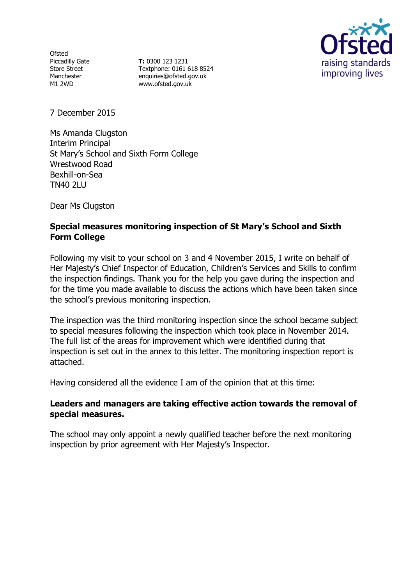**Ofsted** Piccadilly Gate Store Street Manchester M1 2WD

**T:** 0300 123 1231 Textphone: 0161 618 8524 enquiries@ofsted.gov.uk www.ofsted.gov.uk



7 December 2015

Ms Amanda Clugston Interim Principal St Mary's School and Sixth Form College Wrestwood Road Bexhill-on-Sea TN40 2LU

Dear Ms Clugston

## **Special measures monitoring inspection of St Mary's School and Sixth Form College**

Following my visit to your school on 3 and 4 November 2015, I write on behalf of Her Majesty's Chief Inspector of Education, Children's Services and Skills to confirm the inspection findings. Thank you for the help you gave during the inspection and for the time you made available to discuss the actions which have been taken since the school's previous monitoring inspection.

The inspection was the third monitoring inspection since the school became subject to special measures following the inspection which took place in November 2014. The full list of the areas for improvement which were identified during that inspection is set out in the annex to this letter. The monitoring inspection report is attached.

Having considered all the evidence I am of the opinion that at this time:

### **Leaders and managers are taking effective action towards the removal of special measures.**

The school may only appoint a newly qualified teacher before the next monitoring inspection by prior agreement with Her Majesty's Inspector.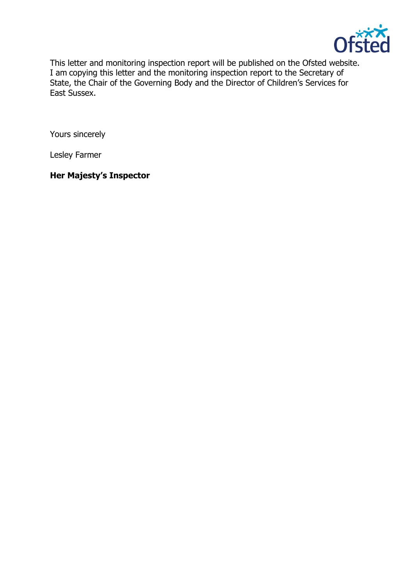

This letter and monitoring inspection report will be published on the Ofsted website. I am copying this letter and the monitoring inspection report to the Secretary of State, the Chair of the Governing Body and the Director of Children's Services for East Sussex.

Yours sincerely

Lesley Farmer

# **Her Majesty's Inspector**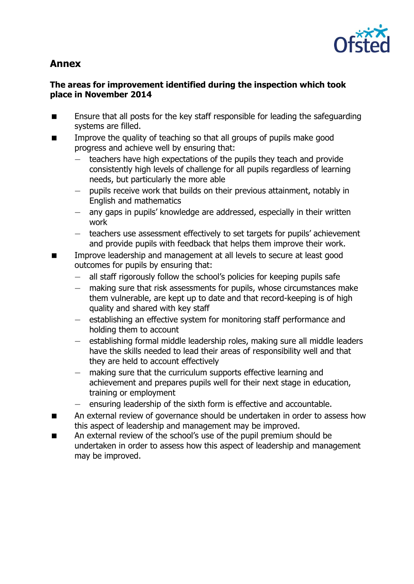

# **Annex**

## **The areas for improvement identified during the inspection which took place in November 2014**

- Ensure that all posts for the key staff responsible for leading the safeguarding systems are filled.
- Improve the quality of teaching so that all groups of pupils make good progress and achieve well by ensuring that:
	- teachers have high expectations of the pupils they teach and provide consistently high levels of challenge for all pupils regardless of learning needs, but particularly the more able
	- pupils receive work that builds on their previous attainment, notably in English and mathematics
	- any gaps in pupils' knowledge are addressed, especially in their written work
	- teachers use assessment effectively to set targets for pupils' achievement and provide pupils with feedback that helps them improve their work.
- Improve leadership and management at all levels to secure at least good outcomes for pupils by ensuring that:
	- all staff rigorously follow the school's policies for keeping pupils safe
	- making sure that risk assessments for pupils, whose circumstances make them vulnerable, are kept up to date and that record-keeping is of high quality and shared with key staff
	- establishing an effective system for monitoring staff performance and holding them to account
	- establishing formal middle leadership roles, making sure all middle leaders have the skills needed to lead their areas of responsibility well and that they are held to account effectively
	- making sure that the curriculum supports effective learning and achievement and prepares pupils well for their next stage in education, training or employment
	- ensuring leadership of the sixth form is effective and accountable.
- **EXECUTE:** An external review of governance should be undertaken in order to assess how this aspect of leadership and management may be improved.
- An external review of the school's use of the pupil premium should be undertaken in order to assess how this aspect of leadership and management may be improved.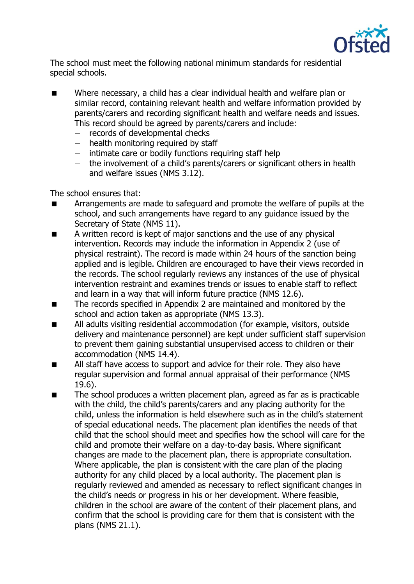

The school must meet the following national minimum standards for residential special schools.

- Where necessary, a child has a clear individual health and welfare plan or similar record, containing relevant health and welfare information provided by parents/carers and recording significant health and welfare needs and issues. This record should be agreed by parents/carers and include:
	- records of developmental checks
	- health monitoring required by staff
	- intimate care or bodily functions requiring staff help
	- the involvement of a child's parents/carers or significant others in health and welfare issues (NMS 3.12).

The school ensures that:

- **EXTERN** Arrangements are made to safeguard and promote the welfare of pupils at the school, and such arrangements have regard to any guidance issued by the Secretary of State (NMS 11).
- A written record is kept of major sanctions and the use of any physical intervention. Records may include the information in Appendix 2 (use of physical restraint). The record is made within 24 hours of the sanction being applied and is legible. Children are encouraged to have their views recorded in the records. The school regularly reviews any instances of the use of physical intervention restraint and examines trends or issues to enable staff to reflect and learn in a way that will inform future practice (NMS 12.6).
- The records specified in Appendix 2 are maintained and monitored by the school and action taken as appropriate (NMS 13.3).
- All adults visiting residential accommodation (for example, visitors, outside delivery and maintenance personnel) are kept under sufficient staff supervision to prevent them gaining substantial unsupervised access to children or their accommodation (NMS 14.4).
- **All staff have access to support and advice for their role. They also have** regular supervision and formal annual appraisal of their performance (NMS 19.6).
- The school produces a written placement plan, agreed as far as is practicable with the child, the child's parents/carers and any placing authority for the child, unless the information is held elsewhere such as in the child's statement of special educational needs. The placement plan identifies the needs of that child that the school should meet and specifies how the school will care for the child and promote their welfare on a day-to-day basis. Where significant changes are made to the placement plan, there is appropriate consultation. Where applicable, the plan is consistent with the care plan of the placing authority for any child placed by a local authority. The placement plan is regularly reviewed and amended as necessary to reflect significant changes in the child's needs or progress in his or her development. Where feasible, children in the school are aware of the content of their placement plans, and confirm that the school is providing care for them that is consistent with the plans (NMS 21.1).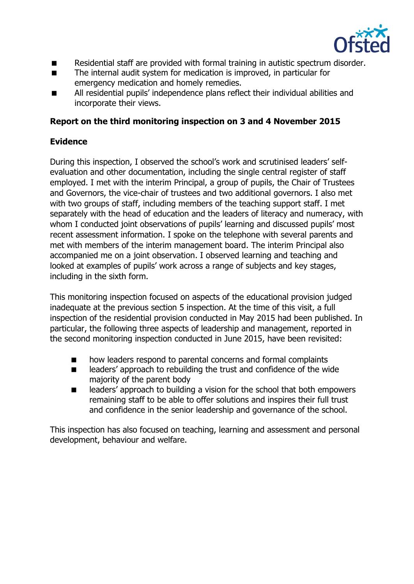

- Residential staff are provided with formal training in autistic spectrum disorder.
- The internal audit system for medication is improved, in particular for emergency medication and homely remedies.
- All residential pupils' independence plans reflect their individual abilities and incorporate their views.

## **Report on the third monitoring inspection on 3 and 4 November 2015**

## **Evidence**

During this inspection, I observed the school's work and scrutinised leaders' selfevaluation and other documentation, including the single central register of staff employed. I met with the interim Principal, a group of pupils, the Chair of Trustees and Governors, the vice-chair of trustees and two additional governors. I also met with two groups of staff, including members of the teaching support staff. I met separately with the head of education and the leaders of literacy and numeracy, with whom I conducted joint observations of pupils' learning and discussed pupils' most recent assessment information. I spoke on the telephone with several parents and met with members of the interim management board. The interim Principal also accompanied me on a joint observation. I observed learning and teaching and looked at examples of pupils' work across a range of subjects and key stages, including in the sixth form.

This monitoring inspection focused on aspects of the educational provision judged inadequate at the previous section 5 inspection. At the time of this visit, a full inspection of the residential provision conducted in May 2015 had been published. In particular, the following three aspects of leadership and management, reported in the second monitoring inspection conducted in June 2015, have been revisited:

- **nd a** how leaders respond to parental concerns and formal complaints
- $\blacksquare$  leaders' approach to rebuilding the trust and confidence of the wide majority of the parent body
- leaders' approach to building a vision for the school that both empowers remaining staff to be able to offer solutions and inspires their full trust and confidence in the senior leadership and governance of the school.

This inspection has also focused on teaching, learning and assessment and personal development, behaviour and welfare.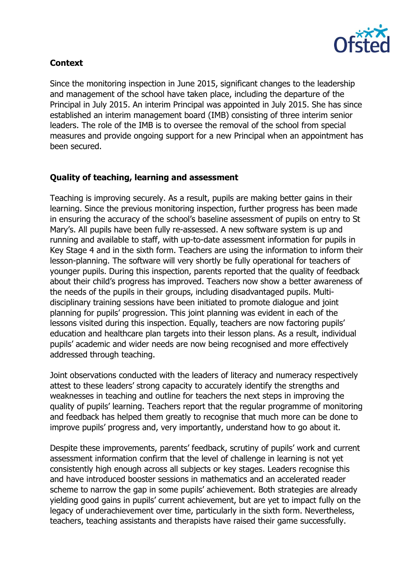

## **Context**

Since the monitoring inspection in June 2015, significant changes to the leadership and management of the school have taken place, including the departure of the Principal in July 2015. An interim Principal was appointed in July 2015. She has since established an interim management board (IMB) consisting of three interim senior leaders. The role of the IMB is to oversee the removal of the school from special measures and provide ongoing support for a new Principal when an appointment has been secured.

## **Quality of teaching, learning and assessment**

Teaching is improving securely. As a result, pupils are making better gains in their learning. Since the previous monitoring inspection, further progress has been made in ensuring the accuracy of the school's baseline assessment of pupils on entry to St Mary's. All pupils have been fully re-assessed. A new software system is up and running and available to staff, with up-to-date assessment information for pupils in Key Stage 4 and in the sixth form. Teachers are using the information to inform their lesson-planning. The software will very shortly be fully operational for teachers of younger pupils. During this inspection, parents reported that the quality of feedback about their child's progress has improved. Teachers now show a better awareness of the needs of the pupils in their groups, including disadvantaged pupils. Multidisciplinary training sessions have been initiated to promote dialogue and joint planning for pupils' progression. This joint planning was evident in each of the lessons visited during this inspection. Equally, teachers are now factoring pupils' education and healthcare plan targets into their lesson plans. As a result, individual pupils' academic and wider needs are now being recognised and more effectively addressed through teaching.

Joint observations conducted with the leaders of literacy and numeracy respectively attest to these leaders' strong capacity to accurately identify the strengths and weaknesses in teaching and outline for teachers the next steps in improving the quality of pupils' learning. Teachers report that the regular programme of monitoring and feedback has helped them greatly to recognise that much more can be done to improve pupils' progress and, very importantly, understand how to go about it.

Despite these improvements, parents' feedback, scrutiny of pupils' work and current assessment information confirm that the level of challenge in learning is not yet consistently high enough across all subjects or key stages. Leaders recognise this and have introduced booster sessions in mathematics and an accelerated reader scheme to narrow the gap in some pupils' achievement. Both strategies are already yielding good gains in pupils' current achievement, but are yet to impact fully on the legacy of underachievement over time, particularly in the sixth form. Nevertheless, teachers, teaching assistants and therapists have raised their game successfully.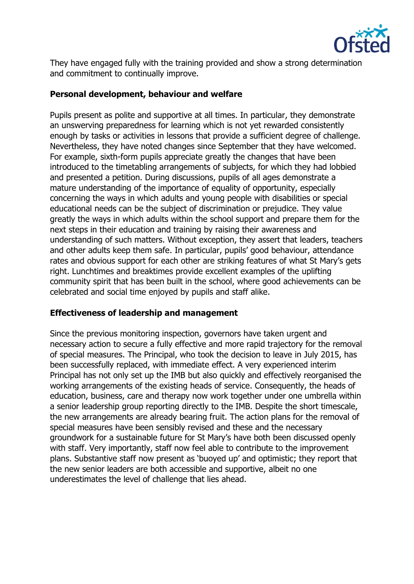

They have engaged fully with the training provided and show a strong determination and commitment to continually improve.

## **Personal development, behaviour and welfare**

Pupils present as polite and supportive at all times. In particular, they demonstrate an unswerving preparedness for learning which is not yet rewarded consistently enough by tasks or activities in lessons that provide a sufficient degree of challenge. Nevertheless, they have noted changes since September that they have welcomed. For example, sixth-form pupils appreciate greatly the changes that have been introduced to the timetabling arrangements of subjects, for which they had lobbied and presented a petition. During discussions, pupils of all ages demonstrate a mature understanding of the importance of equality of opportunity, especially concerning the ways in which adults and young people with disabilities or special educational needs can be the subject of discrimination or prejudice. They value greatly the ways in which adults within the school support and prepare them for the next steps in their education and training by raising their awareness and understanding of such matters. Without exception, they assert that leaders, teachers and other adults keep them safe. In particular, pupils' good behaviour, attendance rates and obvious support for each other are striking features of what St Mary's gets right. Lunchtimes and breaktimes provide excellent examples of the uplifting community spirit that has been built in the school, where good achievements can be celebrated and social time enjoyed by pupils and staff alike.

### **Effectiveness of leadership and management**

Since the previous monitoring inspection, governors have taken urgent and necessary action to secure a fully effective and more rapid trajectory for the removal of special measures. The Principal, who took the decision to leave in July 2015, has been successfully replaced, with immediate effect. A very experienced interim Principal has not only set up the IMB but also quickly and effectively reorganised the working arrangements of the existing heads of service. Consequently, the heads of education, business, care and therapy now work together under one umbrella within a senior leadership group reporting directly to the IMB. Despite the short timescale, the new arrangements are already bearing fruit. The action plans for the removal of special measures have been sensibly revised and these and the necessary groundwork for a sustainable future for St Mary's have both been discussed openly with staff. Very importantly, staff now feel able to contribute to the improvement plans. Substantive staff now present as 'buoyed up' and optimistic; they report that the new senior leaders are both accessible and supportive, albeit no one underestimates the level of challenge that lies ahead.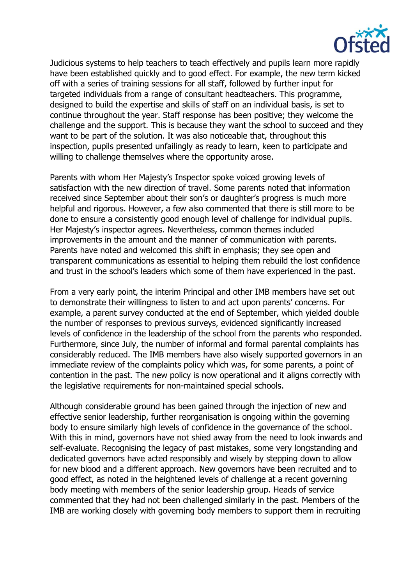

Judicious systems to help teachers to teach effectively and pupils learn more rapidly have been established quickly and to good effect. For example, the new term kicked off with a series of training sessions for all staff, followed by further input for targeted individuals from a range of consultant headteachers. This programme, designed to build the expertise and skills of staff on an individual basis, is set to continue throughout the year. Staff response has been positive; they welcome the challenge and the support. This is because they want the school to succeed and they want to be part of the solution. It was also noticeable that, throughout this inspection, pupils presented unfailingly as ready to learn, keen to participate and willing to challenge themselves where the opportunity arose.

Parents with whom Her Majesty's Inspector spoke voiced growing levels of satisfaction with the new direction of travel. Some parents noted that information received since September about their son's or daughter's progress is much more helpful and rigorous. However, a few also commented that there is still more to be done to ensure a consistently good enough level of challenge for individual pupils. Her Majesty's inspector agrees. Nevertheless, common themes included improvements in the amount and the manner of communication with parents. Parents have noted and welcomed this shift in emphasis; they see open and transparent communications as essential to helping them rebuild the lost confidence and trust in the school's leaders which some of them have experienced in the past.

From a very early point, the interim Principal and other IMB members have set out to demonstrate their willingness to listen to and act upon parents' concerns. For example, a parent survey conducted at the end of September, which yielded double the number of responses to previous surveys, evidenced significantly increased levels of confidence in the leadership of the school from the parents who responded. Furthermore, since July, the number of informal and formal parental complaints has considerably reduced. The IMB members have also wisely supported governors in an immediate review of the complaints policy which was, for some parents, a point of contention in the past. The new policy is now operational and it aligns correctly with the legislative requirements for non-maintained special schools.

Although considerable ground has been gained through the injection of new and effective senior leadership, further reorganisation is ongoing within the governing body to ensure similarly high levels of confidence in the governance of the school. With this in mind, governors have not shied away from the need to look inwards and self-evaluate. Recognising the legacy of past mistakes, some very longstanding and dedicated governors have acted responsibly and wisely by stepping down to allow for new blood and a different approach. New governors have been recruited and to good effect, as noted in the heightened levels of challenge at a recent governing body meeting with members of the senior leadership group. Heads of service commented that they had not been challenged similarly in the past. Members of the IMB are working closely with governing body members to support them in recruiting